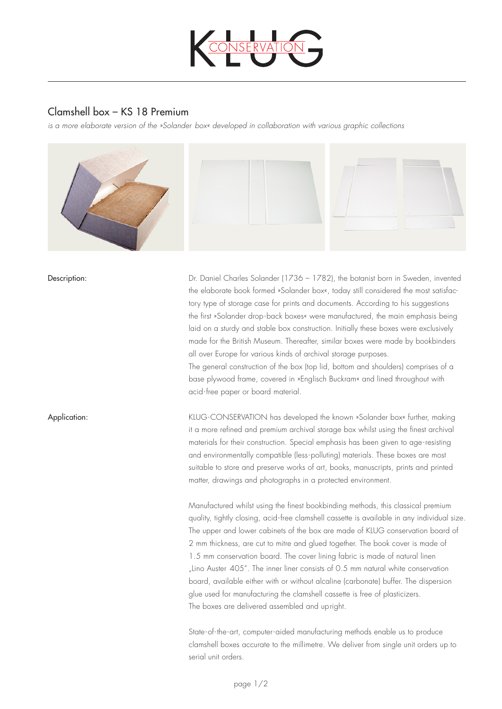

## Clamshell box – KS 18 Premium

*is a more elaborate version of the »Solander box« developed in collaboration with various graphic collections* 



Dr. Daniel Charles Solander (1736 – 1782), the botanist born in Sweden, invented the elaborate book formed »Solander box«, today still considered the most satisfactory type of storage case for prints and documents. According to his suggestions the first »Solander drop-back boxes« were manufactured, the main emphasis being laid on a sturdy and stable box construction. Initially these boxes were exclusively made for the British Museum. Thereafter, similar boxes were made by bookbinders all over Europe for various kinds of archival storage purposes.

The general construction of the box (top lid, bottom and shoulders) comprises of a base plywood frame, covered in »Englisch Buckram« and lined throughout with acid-free paper or board material.

Application: KLUG-CONSERVATION has developed the known »Solander box« further, making it a more refined and premium archival storage box whilst using the finest archival materials for their construction. Special emphasis has been given to age-resisting and environmentally compatible (less-polluting) materials. These boxes are most suitable to store and preserve works of art, books, manuscripts, prints and printed matter, drawings and photographs in a protected environment.

> Manufactured whilst using the finest bookbinding methods, this classical premium quality, tightly closing, acid-free clamshell cassette is available in any individual size. The upper and lower cabinets of the box are made of KLUG conservation board of 2 mm thickness, are cut to mitre and glued together. The book cover is made of 1.5 mm conservation board. The cover lining fabric is made of natural linen "Lino Auster 405". The inner liner consists of 0.5 mm natural white conservation board, available either with or without alcaline (carbonate) buffer. The dispersion glue used for manufacturing the clamshell cassette is free of plasticizers. The boxes are delivered assembled and upright.

State-of-the-art, computer-aided manufacturing methods enable us to produce clamshell boxes accurate to the millimetre. We deliver from single unit orders up to serial unit orders.